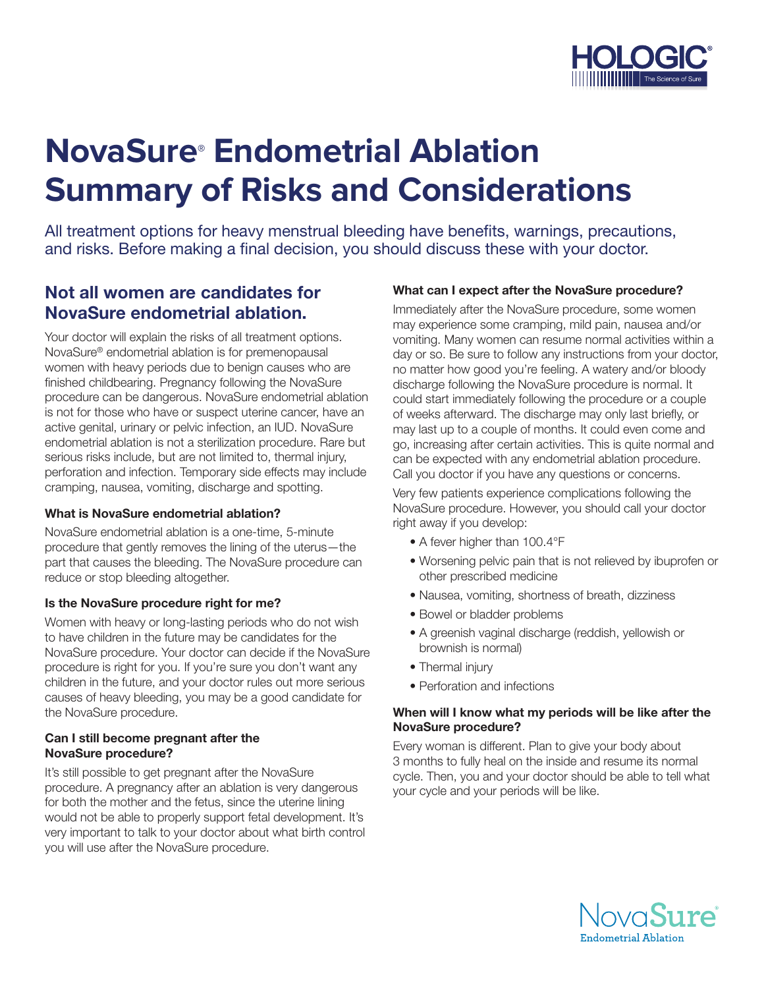

# **NovaSure® Endometrial Ablation Summary of Risks and Considerations**

All treatment options for heavy menstrual bleeding have benefits, warnings, precautions, and risks. Before making a final decision, you should discuss these with your doctor.

# Not all women are candidates for NovaSure endometrial ablation.

Your doctor will explain the risks of all treatment options. NovaSure® endometrial ablation is for premenopausal women with heavy periods due to benign causes who are finished childbearing. Pregnancy following the NovaSure procedure can be dangerous. NovaSure endometrial ablation is not for those who have or suspect uterine cancer, have an active genital, urinary or pelvic infection, an IUD. NovaSure endometrial ablation is not a sterilization procedure. Rare but serious risks include, but are not limited to, thermal injury, perforation and infection. Temporary side effects may include cramping, nausea, vomiting, discharge and spotting.

# What is NovaSure endometrial ablation?

NovaSure endometrial ablation is a one-time, 5-minute procedure that gently removes the lining of the uterus—the part that causes the bleeding. The NovaSure procedure can reduce or stop bleeding altogether.

#### Is the NovaSure procedure right for me?

Women with heavy or long-lasting periods who do not wish to have children in the future may be candidates for the NovaSure procedure. Your doctor can decide if the NovaSure procedure is right for you. If you're sure you don't want any children in the future, and your doctor rules out more serious causes of heavy bleeding, you may be a good candidate for the NovaSure procedure.

#### Can I still become pregnant after the NovaSure procedure?

It's still possible to get pregnant after the NovaSure procedure. A pregnancy after an ablation is very dangerous for both the mother and the fetus, since the uterine lining would not be able to properly support fetal development. It's very important to talk to your doctor about what birth control you will use after the NovaSure procedure.

# What can I expect after the NovaSure procedure?

Immediately after the NovaSure procedure, some women may experience some cramping, mild pain, nausea and/or vomiting. Many women can resume normal activities within a day or so. Be sure to follow any instructions from your doctor, no matter how good you're feeling. A watery and/or bloody discharge following the NovaSure procedure is normal. It could start immediately following the procedure or a couple of weeks afterward. The discharge may only last briefly, or may last up to a couple of months. It could even come and go, increasing after certain activities. This is quite normal and can be expected with any endometrial ablation procedure. Call you doctor if you have any questions or concerns.

Very few patients experience complications following the NovaSure procedure. However, you should call your doctor right away if you develop:

- A fever higher than 100.4°F
- Worsening pelvic pain that is not relieved by ibuprofen or other prescribed medicine
- Nausea, vomiting, shortness of breath, dizziness
- Bowel or bladder problems
- A greenish vaginal discharge (reddish, yellowish or brownish is normal)
- Thermal injury
- Perforation and infections

#### When will I know what my periods will be like after the NovaSure procedure?

Every woman is different. Plan to give your body about 3 months to fully heal on the inside and resume its normal cycle. Then, you and your doctor should be able to tell what your cycle and your periods will be like.